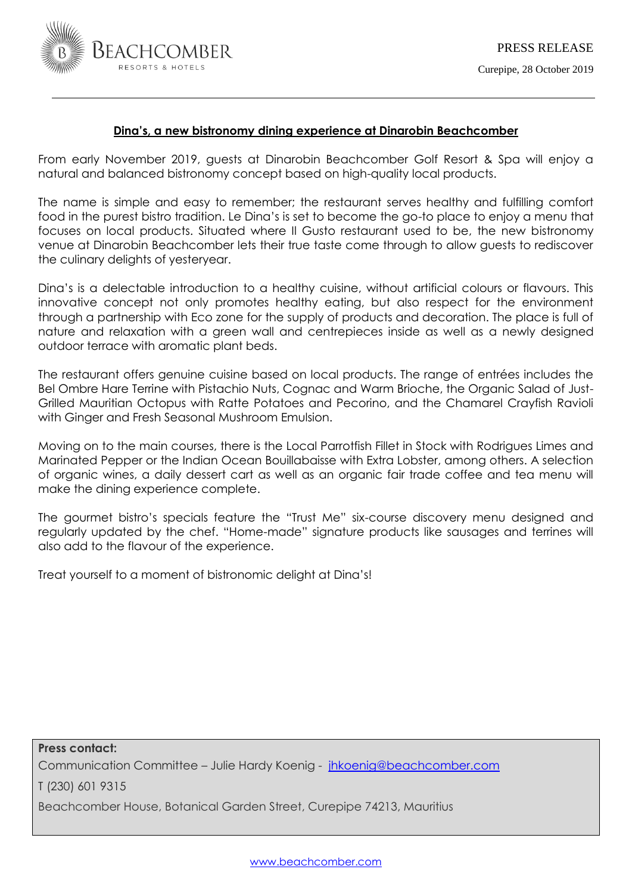

# **Dina's, a new bistronomy dining experience at Dinarobin Beachcomber**

From early November 2019, guests at Dinarobin Beachcomber Golf Resort & Spa will enjoy a natural and balanced bistronomy concept based on high-quality local products.

The name is simple and easy to remember; the restaurant serves healthy and fulfilling comfort food in the purest bistro tradition. Le Dina's is set to become the go-to place to enjoy a menu that focuses on local products. Situated where Il Gusto restaurant used to be, the new bistronomy venue at Dinarobin Beachcomber lets their true taste come through to allow guests to rediscover the culinary delights of yesteryear.

Dina's is a delectable introduction to a healthy cuisine, without artificial colours or flavours. This innovative concept not only promotes healthy eating, but also respect for the environment through a partnership with Eco zone for the supply of products and decoration. The place is full of nature and relaxation with a green wall and centrepieces inside as well as a newly designed outdoor terrace with aromatic plant beds.

The restaurant offers genuine cuisine based on local products. The range of entrées includes the Bel Ombre Hare Terrine with Pistachio Nuts, Cognac and Warm Brioche, the Organic Salad of Just-Grilled Mauritian Octopus with Ratte Potatoes and Pecorino, and the Chamarel Crayfish Ravioli with Ginger and Fresh Seasonal Mushroom Emulsion.

Moving on to the main courses, there is the Local Parrotfish Fillet in Stock with Rodrigues Limes and Marinated Pepper or the Indian Ocean Bouillabaisse with Extra Lobster, among others. A selection of organic wines, a daily dessert cart as well as an organic fair trade coffee and tea menu will make the dining experience complete.

The gourmet bistro's specials feature the "Trust Me" six-course discovery menu designed and regularly updated by the chef. "Home-made" signature products like sausages and terrines will also add to the flavour of the experience.

Treat yourself to a moment of bistronomic delight at Dina's!

**Press contact:**  Communication Committee – Julie Hardy Koenig - [jhkoenig@beachcomber.com](mailto:jhkoenig@beachcomber.com)  T (230) 601 9315

Beachcomber House, Botanical Garden Street, Curepipe 74213, Mauritius